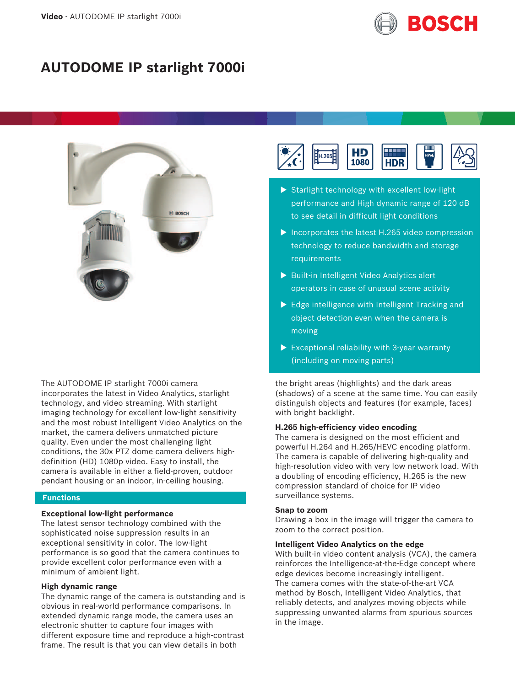

# **AUTODOME IP starlight 7000i**



The AUTODOME IP starlight 7000i camera incorporates the latest in Video Analytics, starlight technology, and video streaming. With starlight imaging technology for excellent low-light sensitivity and the most robust Intelligent Video Analytics on the market, the camera delivers unmatched picture quality. Even under the most challenging light conditions, the 30x PTZ dome camera delivers highdefinition (HD) 1080p video. Easy to install, the camera is available in either a field-proven, outdoor pendant housing or an indoor, in-ceiling housing.

#### **Functions**

#### **Exceptional low-light performance**

The latest sensor technology combined with the sophisticated noise suppression results in an exceptional sensitivity in color. The low-light performance is so good that the camera continues to provide excellent color performance even with a minimum of ambient light.

#### **High dynamic range**

The dynamic range of the camera is outstanding and is obvious in real-world performance comparisons. In extended dynamic range mode, the camera uses an electronic shutter to capture four images with different exposure time and reproduce a high-contrast frame. The result is that you can view details in both



- $\triangleright$  Starlight technology with excellent low-light performance and High dynamic range of 120 dB to see detail in difficult light conditions
- $\triangleright$  Incorporates the latest H.265 video compression technology to reduce bandwidth and storage requirements
- $\triangleright$  Built-in Intelligent Video Analytics alert operators in case of unusual scene activity
- $\blacktriangleright$  Edge intelligence with Intelligent Tracking and object detection even when the camera is moving
- $\triangleright$  Exceptional reliability with 3-year warranty (including on moving parts)

the bright areas (highlights) and the dark areas (shadows) of a scene at the same time. You can easily distinguish objects and features (for example, faces) with bright backlight.

#### **H.265 high-efficiency video encoding**

The camera is designed on the most efficient and powerful H.264 and H.265/HEVC encoding platform. The camera is capable of delivering high-quality and high-resolution video with very low network load. With a doubling of encoding efficiency, H.265 is the new compression standard of choice for IP video surveillance systems.

#### **Snap to zoom**

Drawing a box in the image will trigger the camera to zoom to the correct position.

#### **Intelligent Video Analytics on the edge**

With built-in video content analysis (VCA), the camera reinforces the Intelligence-at-the-Edge concept where edge devices become increasingly intelligent. The camera comes with the state-of-the-art VCA method by Bosch, Intelligent Video Analytics, that reliably detects, and analyzes moving objects while suppressing unwanted alarms from spurious sources in the image.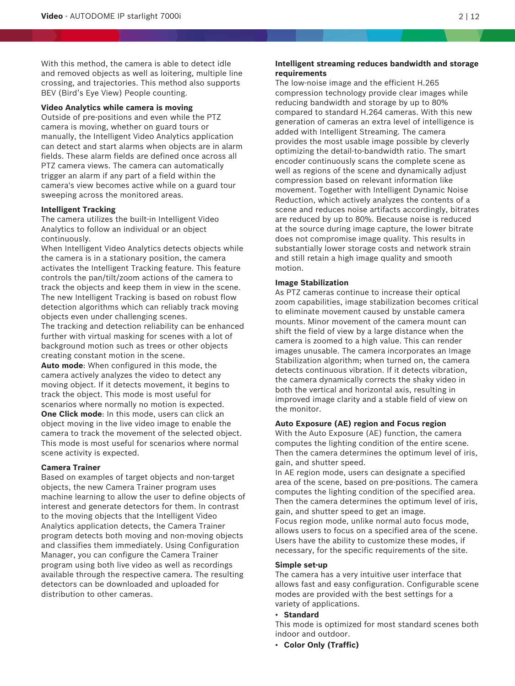With this method, the camera is able to detect idle and removed objects as well as loitering, multiple line crossing, and trajectories. This method also supports BEV (Bird's Eye View) People counting.

#### **Video Analytics while camera is moving**

Outside of pre-positions and even while the PTZ camera is moving, whether on guard tours or manually, the Intelligent Video Analytics application can detect and start alarms when objects are in alarm fields. These alarm fields are defined once across all PTZ camera views. The camera can automatically trigger an alarm if any part of a field within the camera's view becomes active while on a guard tour sweeping across the monitored areas.

#### **Intelligent Tracking**

The camera utilizes the built-in Intelligent Video Analytics to follow an individual or an object continuously.

When Intelligent Video Analytics detects objects while the camera is in a stationary position, the camera activates the Intelligent Tracking feature. This feature controls the pan/tilt/zoom actions of the camera to track the objects and keep them in view in the scene. The new Intelligent Tracking is based on robust flow detection algorithms which can reliably track moving objects even under challenging scenes.

The tracking and detection reliability can be enhanced further with virtual masking for scenes with a lot of background motion such as trees or other objects creating constant motion in the scene.

**Auto mode**: When configured in this mode, the camera actively analyzes the video to detect any moving object. If it detects movement, it begins to track the object. This mode is most useful for scenarios where normally no motion is expected. **One Click mode**: In this mode, users can click an object moving in the live video image to enable the camera to track the movement of the selected object.

This mode is most useful for scenarios where normal scene activity is expected.

# **Camera Trainer**

Based on examples of target objects and non-target objects, the new Camera Trainer program uses machine learning to allow the user to define objects of interest and generate detectors for them. In contrast to the moving objects that the Intelligent Video Analytics application detects, the Camera Trainer program detects both moving and non-moving objects and classifies them immediately. Using Configuration Manager, you can configure the Camera Trainer program using both live video as well as recordings available through the respective camera. The resulting detectors can be downloaded and uploaded for distribution to other cameras.

#### **Intelligent streaming reduces bandwidth and storage requirements**

The low-noise image and the efficient H.265 compression technology provide clear images while reducing bandwidth and storage by up to 80% compared to standard H.264 cameras. With this new generation of cameras an extra level of intelligence is added with Intelligent Streaming. The camera provides the most usable image possible by cleverly optimizing the detail-to-bandwidth ratio. The smart encoder continuously scans the complete scene as well as regions of the scene and dynamically adjust compression based on relevant information like movement. Together with Intelligent Dynamic Noise Reduction, which actively analyzes the contents of a scene and reduces noise artifacts accordingly, bitrates are reduced by up to 80%. Because noise is reduced at the source during image capture, the lower bitrate does not compromise image quality. This results in substantially lower storage costs and network strain and still retain a high image quality and smooth motion.

#### **Image Stabilization**

As PTZ cameras continue to increase their optical zoom capabilities, image stabilization becomes critical to eliminate movement caused by unstable camera mounts. Minor movement of the camera mount can shift the field of view by a large distance when the camera is zoomed to a high value. This can render images unusable. The camera incorporates an Image Stabilization algorithm; when turned on, the camera detects continuous vibration. If it detects vibration, the camera dynamically corrects the shaky video in both the vertical and horizontal axis, resulting in improved image clarity and a stable field of view on the monitor.

#### **Auto Exposure (AE) region and Focus region**

With the Auto Exposure (AE) function, the camera computes the lighting condition of the entire scene. Then the camera determines the optimum level of iris, gain, and shutter speed.

In AE region mode, users can designate a specified area of the scene, based on pre-positions. The camera computes the lighting condition of the specified area. Then the camera determines the optimum level of iris, gain, and shutter speed to get an image. Focus region mode, unlike normal auto focus mode, allows users to focus on a specified area of the scene. Users have the ability to customize these modes, if

necessary, for the specific requirements of the site.

#### **Simple set-up**

The camera has a very intuitive user interface that allows fast and easy configuration. Configurable scene modes are provided with the best settings for a variety of applications.

#### • **Standard**

This mode is optimized for most standard scenes both indoor and outdoor.

• **Color Only (Traffic)**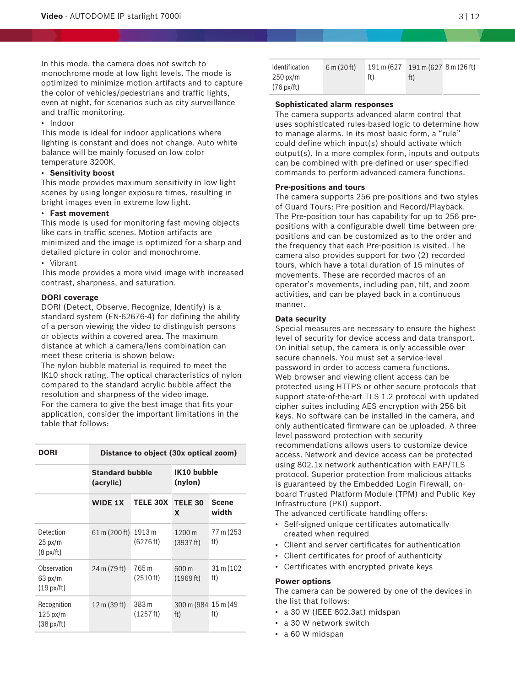In this mode, the camera does not switch to monochrome mode at low light levels. The mode is optimized to minimize motion artifacts and to capture the color of vehicles/pedestrians and traffic lights, even at night, for scenarios such as city surveillance and traffic monitoring.

• Indoor

This mode is ideal for indoor applications where lighting is constant and does not change. Auto white balance will be mainly focused on low color temperature 3200K.

#### • **Sensitivity boost**

This mode provides maximum sensitivity in low light scenes by using longer exposure times, resulting in bright images even in extreme low light.

# • **Fast movement**

This mode is used for monitoring fast moving objects like cars in traffic scenes. Motion artifacts are minimized and the image is optimized for a sharp and detailed picture in color and monochrome.

#### • Vibrant

This mode provides a more vivid image with increased contrast, sharpness, and saturation.

#### **DORI coverage**

DORI (Detect, Observe, Recognize, Identify) is a standard system (EN-62676-4) for defining the ability of a person viewing the video to distinguish persons or objects within a covered area. The maximum distance at which a camera/lens combination can meet these criteria is shown below:

The nylon bubble material is required to meet the IK10 shock rating. The optical characteristics of nylon compared to the standard acrylic bubble affect the resolution and sharpness of the video image. For the camera to give the best image that fits your application, consider the important limitations in the table that follows:

| DORI                                                      | Distance to object (30x optical zoom) |                     |                             |                       |
|-----------------------------------------------------------|---------------------------------------|---------------------|-----------------------------|-----------------------|
|                                                           | <b>Standard bubble</b><br>(acrylic)   |                     | IK10 bubble<br>(nylon)      |                       |
|                                                           | <b>WIDE 1X</b>                        | <b>TELE 30X</b>     | <b>TELE 30</b><br>X         | <b>Scene</b><br>width |
| Detection<br>$25 \text{ px/m}$<br>$(8 \text{ px/ft})$     | 61 m (200 ft)                         | 1913 m<br>(6276 ft) | 1200 m<br>(3937 ft)         | 77 m (253<br>ft)      |
| Observation<br>$63 \text{ px/m}$<br>$(19 \text{ px/ft})$  | 24 m (79 ft)                          | 765 m<br>(2510 ft)  | 600 m<br>(1969 ft)          | 31 m (102)<br>ft)     |
| Recognition<br>$125 \text{ px/m}$<br>$(38 \text{ px/ft})$ | 12 m (39 ft)                          | 383 m<br>(1257 ft)  | 300 m (984 15 m (49)<br>ft) | ft)                   |

| <b>Identification</b> | 6 m (20 ft) | 191 m (627 | 191 m (627 8 m (26 ft) |  |
|-----------------------|-------------|------------|------------------------|--|
| $250 \text{ px/m}$    |             | ft)        | ft)                    |  |
| $(76 \text{ px/ft})$  |             |            |                        |  |

#### **Sophisticated alarm responses**

The camera supports advanced alarm control that uses sophisticated rules-based logic to determine how to manage alarms. In its most basic form, a "rule" could define which input(s) should activate which output(s). In a more complex form, inputs and outputs can be combined with pre-defined or user-specified commands to perform advanced camera functions.

#### **Pre-positions and tours**

The camera supports 256 pre-positions and two styles of Guard Tours: Pre-position and Record/Playback. The Pre-position tour has capability for up to 256 prepositions with a configurable dwell time between prepositions and can be customized as to the order and the frequency that each Pre-position is visited. The camera also provides support for two (2) recorded tours, which have a total duration of 15 minutes of movements. These are recorded macros of an operator's movements, including pan, tilt, and zoom activities, and can be played back in a continuous manner.

#### **Data security**

Special measures are necessary to ensure the highest level of security for device access and data transport. On initial setup, the camera is only accessible over secure channels. You must set a service-level password in order to access camera functions. Web browser and viewing client access can be protected using HTTPS or other secure protocols that support state-of-the-art TLS 1.2 protocol with updated cipher suites including AES encryption with 256 bit keys. No software can be installed in the camera, and only authenticated firmware can be uploaded. A threelevel password protection with security recommendations allows users to customize device access. Network and device access can be protected using 802.1x network authentication with EAP/TLS protocol. Superior protection from malicious attacks is guaranteed by the Embedded Login Firewall, onboard Trusted Platform Module (TPM) and Public Key Infrastructure (PKI) support.

The advanced certificate handling offers:

- Self-signed unique certificates automatically created when required
- Client and server certificates for authentication
- Client certificates for proof of authenticity
- Certificates with encrypted private keys

#### **Power options**

The camera can be powered by one of the devices in the list that follows:

- a 30 W (IEEE 802.3at) midspan
- a 30 W network switch
- a 60 W midspan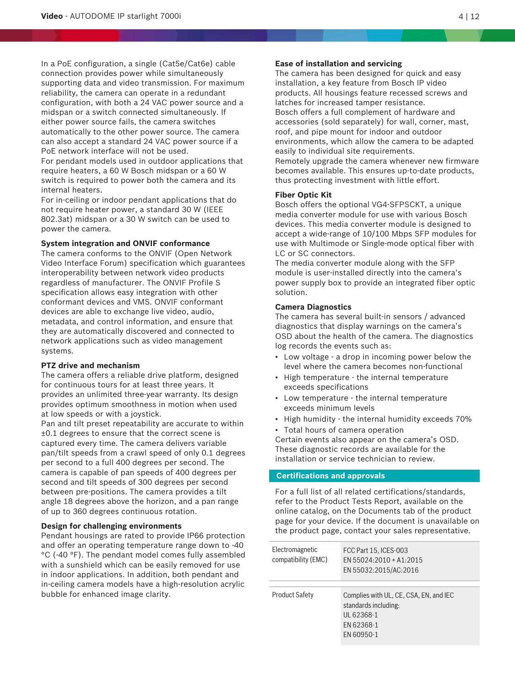In a PoE configuration, a single (Cat5e/Cat6e) cable connection provides power while simultaneously supporting data and video transmission. For maximum reliability, the camera can operate in a redundant configuration, with both a 24 VAC power source and a midspan or a switch connected simultaneously. If either power source fails, the camera switches automatically to the other power source. The camera can also accept a standard 24 VAC power source if a PoE network interface will not be used.

For pendant models used in outdoor applications that require heaters, a 60 W Bosch midspan or a 60 W switch is required to power both the camera and its internal heaters.

For in-ceiling or indoor pendant applications that do not require heater power, a standard 30 W (IEEE 802.3at) midspan or a 30 W switch can be used to power the camera.

# **System integration and ONVIF conformance**

The camera conforms to the ONVIF (Open Network Video Interface Forum) specification which guarantees interoperability between network video products regardless of manufacturer. The ONVIF Profile S specification allows easy integration with other conformant devices and VMS. ONVIF conformant devices are able to exchange live video, audio, metadata, and control information, and ensure that they are automatically discovered and connected to network applications such as video management systems.

#### **PTZ drive and mechanism**

The camera offers a reliable drive platform, designed for continuous tours for at least three years. It provides an unlimited three-year warranty. Its design provides optimum smoothness in motion when used at low speeds or with a joystick.

Pan and tilt preset repeatability are accurate to within ±0.1 degrees to ensure that the correct scene is captured every time. The camera delivers variable pan/tilt speeds from a crawl speed of only 0.1 degrees per second to a full 400 degrees per second. The camera is capable of pan speeds of 400 degrees per second and tilt speeds of 300 degrees per second between pre-positions. The camera provides a tilt angle 18 degrees above the horizon, and a pan range of up to 360 degrees continuous rotation.

#### **Design for challenging environments**

Pendant housings are rated to provide IP66 protection and offer an operating temperature range down to -40 °C (-40 °F). The pendant model comes fully assembled with a sunshield which can be easily removed for use in indoor applications. In addition, both pendant and in-ceiling camera models have a high-resolution acrylic bubble for enhanced image clarity.

#### **Ease of installation and servicing**

The camera has been designed for quick and easy installation, a key feature from Bosch IP video products. All housings feature recessed screws and latches for increased tamper resistance. Bosch offers a full complement of hardware and accessories (sold separately) for wall, corner, mast, roof, and pipe mount for indoor and outdoor environments, which allow the camera to be adapted easily to individual site requirements. Remotely upgrade the camera whenever new firmware

becomes available. This ensures up-to-date products, thus protecting investment with little effort.

#### **Fiber Optic Kit**

Bosch offers the optional VG4-SFPSCKT, a unique media converter module for use with various Bosch devices. This media converter module is designed to accept a wide-range of 10/100 Mbps SFP modules for use with Multimode or Single-mode optical fiber with LC or SC connectors.

The media converter module along with the SFP module is user-installed directly into the camera's power supply box to provide an integrated fiber optic solution.

### **Camera Diagnostics**

The camera has several built-in sensors / advanced diagnostics that display warnings on the camera's OSD about the health of the camera. The diagnostics log records the events such as:

- Low voltage a drop in incoming power below the level where the camera becomes non-functional
- High temperature the internal temperature exceeds specifications
- Low temperature the internal temperature exceeds minimum levels
- High humidity the internal humidity exceeds 70%
- Total hours of camera operation

Certain events also appear on the camera's OSD. These diagnostic records are available for the installation or service technician to review.

## **Certifications and approvals**

For a full list of all related certifications/standards, refer to the Product Tests Report, available on the online catalog, on the Documents tab of the product page for your device. If the document is unavailable on the product page, contact your sales representative.

| Electromagnetic<br>compatibility (EMC) | FCC Part 15, ICES-003<br>EN 55024:2010 + A1:2015<br>EN 55032:2015/AC:2016                                |
|----------------------------------------|----------------------------------------------------------------------------------------------------------|
| <b>Product Safety</b>                  | Complies with UL, CE, CSA, EN, and IEC<br>standards including:<br>UL 62368-1<br>EN 62368-1<br>EN 60950-1 |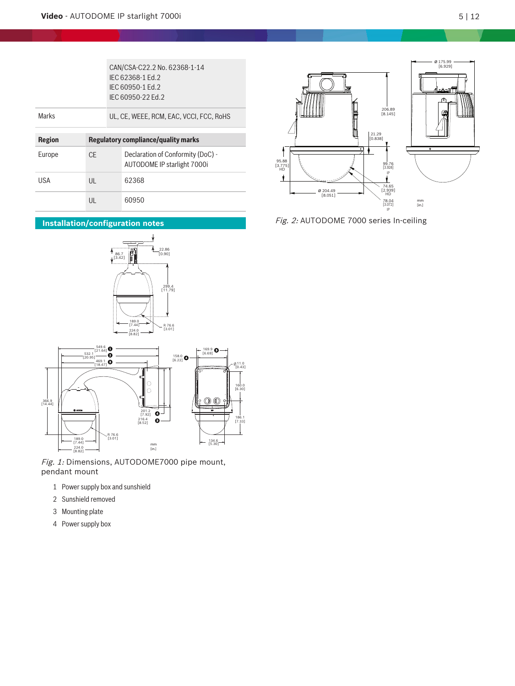|               |     | CAN/CSA-C22.2 No. 62368-1-14<br>IFC 62368-1 Fd.2<br>IFC 60950-1 Fd.2<br>IFC 60950-22 Ed. 2 |  |
|---------------|-----|--------------------------------------------------------------------------------------------|--|
| Marks         |     | UL, CE, WEEE, RCM, EAC, VCCI, FCC, RoHS                                                    |  |
|               |     |                                                                                            |  |
|               |     |                                                                                            |  |
| <b>Region</b> |     | Regulatory compliance/quality marks                                                        |  |
| Europe        | CF. | Declaration of Conformity (DoC) -<br>AUTODOME IP starlight 7000i                           |  |
| USA           | UL  | 62368                                                                                      |  |

# **Installation/configuration notes**





Fig. 1: Dimensions, AUTODOME7000 pipe mount, pendant mount

- 1 Power supply box and sunshield
- 2 Sunshield removed
- 3 Mounting plate
- 4 Power supply box



Fig. 2: AUTODOME 7000 series In-ceiling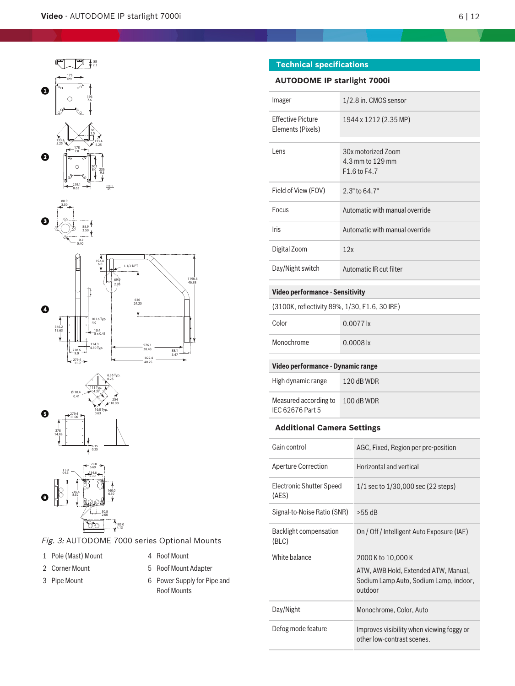









Fig. 3: AUTODOME 7000 series Optional Mounts

1 Pole (Mast) Mount 4 Roof Mount

- 2 Corner Mount 6 6 7 5 Roof Mount Adapter
- 
- 
- 3 Pipe Mount 6 Power Supply for Pipe and Roof Mounts

# **Technical specifications**

# **AUTODOME IP starlight 7000i**

| Imager                                        | 1/2.8 in. CMOS sensor                                  |
|-----------------------------------------------|--------------------------------------------------------|
| <b>Effective Picture</b><br>Elements (Pixels) | 1944 x 1212 (2.35 MP)                                  |
| Lens                                          | 30x motorized Zoom<br>4.3 mm to 129 mm<br>F1.6 to F4.7 |
| Field of View (FOV)                           | $2.3^{\circ}$ to 64.7°                                 |
| Focus                                         | Automatic with manual override                         |
| <b>Iris</b>                                   | Automatic with manual override                         |
| Digital Zoom                                  | 12x                                                    |
| Day/Night switch                              | Automatic IR cut filter                                |
|                                               |                                                        |

# **Video performance - Sensitivity**

| (3100K, reflectivity 89%, 1/30, F1.6, 30 IRE) |  |  |  |
|-----------------------------------------------|--|--|--|
|-----------------------------------------------|--|--|--|

| Color      | $0.0077$ lx |
|------------|-------------|
| Monochrome | $0.0008$ lx |

# **Video performance - Dynamic range**

| High dynamic range                        | $120$ dB WDR |
|-------------------------------------------|--------------|
| Measured according to<br>IFC 62676 Part 5 | 100 dB WDR   |

# **Additional Camera Settings**

| Gain control                      | AGC, Fixed, Region per pre-position                                                                             |
|-----------------------------------|-----------------------------------------------------------------------------------------------------------------|
| <b>Aperture Correction</b>        | Horizontal and vertical                                                                                         |
| Electronic Shutter Speed<br>(AES) | 1/1 sec to 1/30,000 sec (22 steps)                                                                              |
| Signal-to-Noise Ratio (SNR)       | $>55$ dB                                                                                                        |
| Backlight compensation<br>(BLC)   | On / Off / Intelligent Auto Exposure (IAE)                                                                      |
| White balance                     | 2000 K to 10,000 K<br>ATW, AWB Hold, Extended ATW, Manual,<br>Sodium Lamp Auto, Sodium Lamp, indoor,<br>outdoor |
| Day/Night                         | Monochrome, Color, Auto                                                                                         |
| Defog mode feature                | Improves visibility when viewing foggy or<br>other low-contrast scenes.                                         |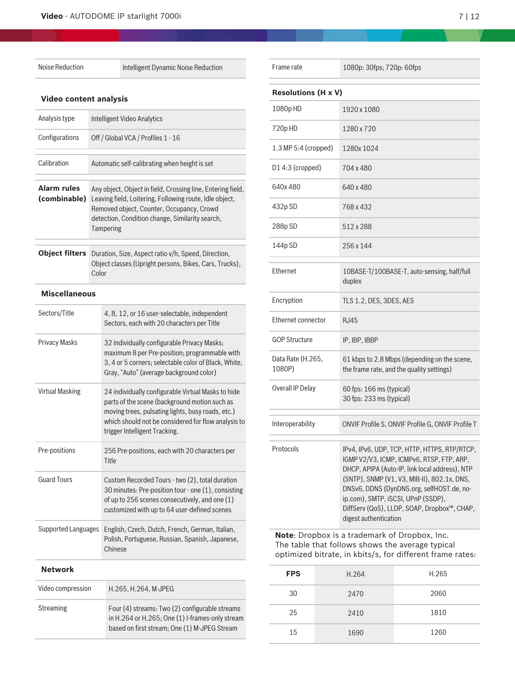Noise Reduction **Intelligent Dynamic Noise Reduction** 

L.

# **Video content analysis**

| Analysis type               | <b>Intelligent Video Analytics</b>                                                                                                                                                                                                  |                                                                                                                                                                                                                                                  |  |
|-----------------------------|-------------------------------------------------------------------------------------------------------------------------------------------------------------------------------------------------------------------------------------|--------------------------------------------------------------------------------------------------------------------------------------------------------------------------------------------------------------------------------------------------|--|
| Configurations              | Off / Global VCA / Profiles 1 - 16                                                                                                                                                                                                  |                                                                                                                                                                                                                                                  |  |
| Calibration                 | Automatic self-calibrating when height is set                                                                                                                                                                                       |                                                                                                                                                                                                                                                  |  |
| Alarm rules<br>(combinable) | Any object, Object in field, Crossing line, Entering field,<br>Leaving field, Loitering, Following route, Idle object,<br>Removed object, Counter, Occupancy, Crowd<br>detection, Condition change, Similarity search,<br>Tampering |                                                                                                                                                                                                                                                  |  |
| <b>Object filters</b>       | Duration, Size, Aspect ratio v/h, Speed, Direction,<br>Object classes (Upright persons, Bikes, Cars, Trucks),<br>Color                                                                                                              |                                                                                                                                                                                                                                                  |  |
| <b>Miscellaneous</b>        |                                                                                                                                                                                                                                     |                                                                                                                                                                                                                                                  |  |
| Sectors/Title               |                                                                                                                                                                                                                                     | 4, 8, 12, or 16 user-selectable, independent<br>Sectors, each with 20 characters per Title                                                                                                                                                       |  |
| <b>Privacy Masks</b>        |                                                                                                                                                                                                                                     | 32 individually configurable Privacy Masks;<br>maximum 8 per Pre-position; programmable with<br>3, 4 or 5 corners; selectable color of Black, White,<br>Gray, "Auto" (average background color)                                                  |  |
| <b>Virtual Masking</b>      |                                                                                                                                                                                                                                     | 24 individually configurable Virtual Masks to hide<br>parts of the scene (background motion such as<br>moving trees, pulsating lights, busy roads, etc.)<br>which should not be considered for flow analysis to<br>trigger Intelligent Tracking. |  |
| Pre-positions               |                                                                                                                                                                                                                                     | 256 Pre-positions, each with 20 characters per<br>Title                                                                                                                                                                                          |  |
| <b>Guard Tours</b>          |                                                                                                                                                                                                                                     | Custom Recorded Tours - two (2), total duration<br>30 minutes: Pre-position tour - one (1), consisting<br>of up to 256 scenes consecutively, and one (1)<br>customized with up to 64 user-defined scenes                                         |  |
| <b>Supported Languages</b>  |                                                                                                                                                                                                                                     | English, Czech, Dutch, French, German, Italian,<br>Polish, Portuguese, Russian, Spanish, Japanese,<br>Chinese                                                                                                                                    |  |
| Network                     |                                                                                                                                                                                                                                     |                                                                                                                                                                                                                                                  |  |
| Video compression           |                                                                                                                                                                                                                                     | H.265, H.264, M-JPEG                                                                                                                                                                                                                             |  |
| <b>Streaming</b>            |                                                                                                                                                                                                                                     | Four (4) streams: Two (2) configurable streams<br>in H.264 or H.265; One (1) I-frames-only stream                                                                                                                                                |  |

based on first stream; One (1) M-JPEG Stream

| Frame rate                  | 1080p: 30fps; 720p: 60fps                                                                                                                                                                                                                                                                                                                             |  |  |  |
|-----------------------------|-------------------------------------------------------------------------------------------------------------------------------------------------------------------------------------------------------------------------------------------------------------------------------------------------------------------------------------------------------|--|--|--|
| <b>Resolutions (H x V)</b>  |                                                                                                                                                                                                                                                                                                                                                       |  |  |  |
| 1080pHD                     | 1920 x 1080                                                                                                                                                                                                                                                                                                                                           |  |  |  |
| 720p HD                     | 1280 x 720                                                                                                                                                                                                                                                                                                                                            |  |  |  |
| $1.3$ MP 5:4 (cropped)      | 1280x 1024                                                                                                                                                                                                                                                                                                                                            |  |  |  |
| D14:3 (cropped)             | 704 x 480                                                                                                                                                                                                                                                                                                                                             |  |  |  |
| 640x480                     | 640 x 480                                                                                                                                                                                                                                                                                                                                             |  |  |  |
| 432p SD                     | 768 x 432                                                                                                                                                                                                                                                                                                                                             |  |  |  |
| 288p SD                     | 512 x 288                                                                                                                                                                                                                                                                                                                                             |  |  |  |
| 144p SD                     | 256 x 144                                                                                                                                                                                                                                                                                                                                             |  |  |  |
| Ethernet                    | 10BASE-T/100BASE-T, auto-sensing, half/full<br>duplex                                                                                                                                                                                                                                                                                                 |  |  |  |
| Encryption                  | TLS 1.2, DES, 3DES, AES                                                                                                                                                                                                                                                                                                                               |  |  |  |
| Ethernet connector          | <b>RJ45</b>                                                                                                                                                                                                                                                                                                                                           |  |  |  |
| GOP Structure               | IP, IBP, IBBP                                                                                                                                                                                                                                                                                                                                         |  |  |  |
| Data Rate (H.265,<br>1080P) | 61 kbps to 2.8 Mbps (depending on the scene,<br>the frame rate, and the quality settings)                                                                                                                                                                                                                                                             |  |  |  |
| Overall IP Delay            | 60 fps: 166 ms (typical)<br>30 fps: 233 ms (typical)                                                                                                                                                                                                                                                                                                  |  |  |  |
| Interoperability            | ONVIF Profile S, ONVIF Profile G, ONVIF Profile T                                                                                                                                                                                                                                                                                                     |  |  |  |
| Protocols                   | IPv4, IPv6, UDP, TCP, HTTP, HTTPS, RTP/RTCP,<br>IGMP V2/V3, ICMP, ICMPv6, RTSP, FTP, ARP,<br>DHCP, APIPA (Auto-IP, link local address), NTP<br>(SNTP), SNMP (V1, V3, MIB-II), 802.1x, DNS,<br>DNSv6, DDNS (DynDNS.org, selfHOST.de, no-<br>ip.com), SMTP, iSCSI, UPnP (SSDP),<br>DiffServ (QoS), LLDP, SOAP, Dropbox™, CHAP,<br>digest authentication |  |  |  |

**Note**: Dropbox is a trademark of Dropbox, Inc. The table that follows shows the average typical optimized bitrate, in kbits/s, for different frame rates:

| <b>FPS</b> | H.264 | H.265 |
|------------|-------|-------|
| 30         | 2470  | 2060  |
| 25         | 2410  | 1810  |
| 15         | 1690  | 1260  |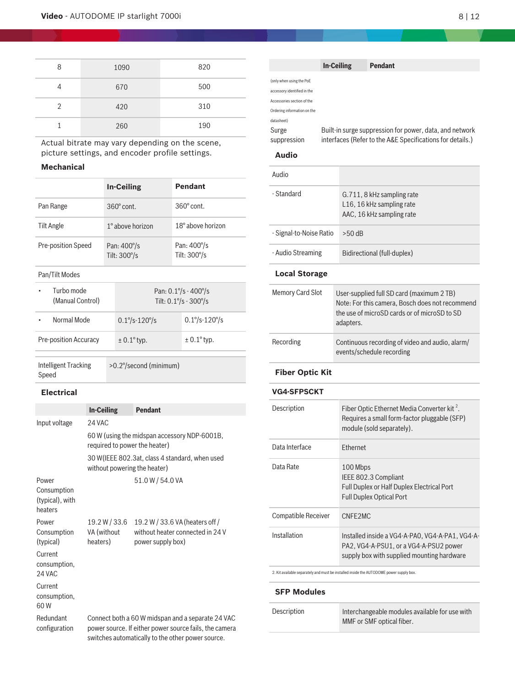| 8              | 1090 | 820 |
|----------------|------|-----|
| 4              | 670  | 500 |
| $\overline{2}$ | 420  | 310 |
|                | 260  | 190 |

Actual bitrate may vary depending on the scene, picture settings, and encoder profile settings.

# **Mechanical**

|                                |                                      | <b>In-Ceiling</b>               |  | <b>Pendant</b>                                |
|--------------------------------|--------------------------------------|---------------------------------|--|-----------------------------------------------|
| Pan Range                      | $360^\circ$ cont.                    |                                 |  | $360^\circ$ cont.                             |
| Tilt Angle                     | 1° above horizon                     |                                 |  | $18^\circ$ above horizon                      |
| Pre-position Speed             | Pan: $400^{\circ}/s$<br>Tilt: 300°/s |                                 |  | Pan: 400°/s<br>Tilt: 300°/s                   |
| Pan/Tilt Modes                 |                                      |                                 |  |                                               |
| Turbo mode<br>(Manual Control) |                                      |                                 |  | Pan: $0.1\% - 400\%$<br>Tilt: $0.1\% - 300\%$ |
| Normal Mode                    |                                      | $0.1^{\circ}/s - 120^{\circ}/s$ |  | $0.1\% - 120\%$                               |
| <b>Pre-position Accuracy</b>   |                                      | $± 0.1°$ typ.                   |  | $\pm$ 0.1 $\degree$ typ.                      |

Intelligent Tracking Speed >0.2°/second (minimum)

# **Electrical**

|                                                    | <b>In-Ceiling</b>                                                                                                                                                | <b>Pendant</b>                                                                           |  |  |
|----------------------------------------------------|------------------------------------------------------------------------------------------------------------------------------------------------------------------|------------------------------------------------------------------------------------------|--|--|
| Input voltage                                      | 24 VAC                                                                                                                                                           |                                                                                          |  |  |
|                                                    | 60 W (using the midspan accessory NDP-6001B,<br>required to power the heater)                                                                                    |                                                                                          |  |  |
|                                                    | 30 W (IEEE 802.3at, class 4 standard, when used<br>without powering the heater)                                                                                  |                                                                                          |  |  |
| Power<br>Consumption<br>(typical), with<br>heaters |                                                                                                                                                                  | 51.0W/54.0VA                                                                             |  |  |
| Power<br>Consumption<br>(typical)                  | 19.2 W / 33.6<br>VA (without<br>heaters)                                                                                                                         | 19.2 W / 33.6 VA (heaters off /<br>without heater connected in 24 V<br>power supply box) |  |  |
| Current<br>consumption,<br>24 VAC                  |                                                                                                                                                                  |                                                                                          |  |  |
| Current<br>consumption,<br>60W                     |                                                                                                                                                                  |                                                                                          |  |  |
| Redundant<br>configuration                         | Connect both a 60 W midspan and a separate 24 VAC<br>power source. If either power source fails, the camera<br>switches automatically to the other power source. |                                                                                          |  |  |

|                                                                                                                                    | <b>In-Ceiling</b> | Pendant                                                                                                                                                   |  |
|------------------------------------------------------------------------------------------------------------------------------------|-------------------|-----------------------------------------------------------------------------------------------------------------------------------------------------------|--|
| (only when using the PoE<br>accessory identified in the<br>Accessories section of the<br>Ordering information on the<br>datasheet) |                   |                                                                                                                                                           |  |
| Surge                                                                                                                              |                   | Built-in surge suppression for power, data, and network                                                                                                   |  |
| suppression                                                                                                                        |                   | interfaces (Refer to the A&E Specifications for details.)                                                                                                 |  |
| <b>Audio</b>                                                                                                                       |                   |                                                                                                                                                           |  |
| Audio                                                                                                                              |                   |                                                                                                                                                           |  |
| - Standard                                                                                                                         |                   | G.711, 8 kHz sampling rate<br>L16, 16 kHz sampling rate<br>AAC, 16 kHz sampling rate                                                                      |  |
| - Signal-to-Noise Ratio                                                                                                            |                   | $>50$ dB                                                                                                                                                  |  |
| - Audio Streaming                                                                                                                  |                   | Bidirectional (full-duplex)                                                                                                                               |  |
| <b>Local Storage</b>                                                                                                               |                   |                                                                                                                                                           |  |
| <b>Memory Card Slot</b>                                                                                                            |                   | User-supplied full SD card (maximum 2 TB)<br>Note: For this camera, Bosch does not recommend<br>the use of microSD cards or of microSD to SD<br>adapters. |  |
| Recording                                                                                                                          |                   | Continuous recording of video and audio, alarm/<br>events/schedule recording                                                                              |  |
| <b>Fiber Optic Kit</b>                                                                                                             |                   |                                                                                                                                                           |  |
| <b>VG4-SFPSCKT</b>                                                                                                                 |                   |                                                                                                                                                           |  |
| Description                                                                                                                        |                   | Fiber Optic Ethernet Media Converter kit <sup>2</sup> .<br>Requires a small form-factor pluggable (SFP)<br>module (sold separately).                      |  |
| Data Interface                                                                                                                     |                   | Ethernet                                                                                                                                                  |  |
| Data Rate                                                                                                                          |                   | 100 Mbps<br>IEEE 802.3 Compliant<br>Full Dupley or Half Dupley Flootrical Port                                                                            |  |

### **Audio**

| - Standard                 | G.711, 8 kHz sampling rate<br>L16, 16 kHz sampling rate<br>AAC, 16 kHz sampling rate                                                                      |  |
|----------------------------|-----------------------------------------------------------------------------------------------------------------------------------------------------------|--|
| - Signal-to-Noise Ratio    | $>50$ dB                                                                                                                                                  |  |
| - Audio Streaming          | Bidirectional (full-duplex)                                                                                                                               |  |
| <b>Local Storage</b>       |                                                                                                                                                           |  |
| <b>Memory Card Slot</b>    | User-supplied full SD card (maximum 2 TB)<br>Note: For this camera, Bosch does not recommend<br>the use of microSD cards or of microSD to SD<br>adapters. |  |
| Recording                  | Continuous recording of video and audio, alarm/<br>events/schedule recording                                                                              |  |
| <b>Fiber Optic Kit</b>     |                                                                                                                                                           |  |
| <b>VG4-SFPSCKT</b>         |                                                                                                                                                           |  |
| Description                | Fiber Optic Ethernet Media Converter kit <sup>2</sup> .<br>Requires a small form-factor pluggable (SFP)<br>module (sold separately).                      |  |
| Data Interface             | Ethernet                                                                                                                                                  |  |
| Data Rate                  | 100 Mbps<br>IEEE 802.3 Compliant<br>Full Duplex or Half Duplex Electrical Port<br>Full Duplex Optical Port                                                |  |
| <b>Compatible Receiver</b> | CNFE2MC                                                                                                                                                   |  |
| Installation               | Installed inside a VG4-A-PA0, VG4-A-PA1, VG4-A-                                                                                                           |  |

2. Kit available separately and must be installed inside the AUTODOME power supply box.

#### **SFP Modules**

| Description | Interchangeable modules available for use with |
|-------------|------------------------------------------------|
|             | MMF or SMF optical fiber.                      |

PA2, VG4-A-PSU1, or a VG4-A-PSU2 power supply box with supplied mounting hardware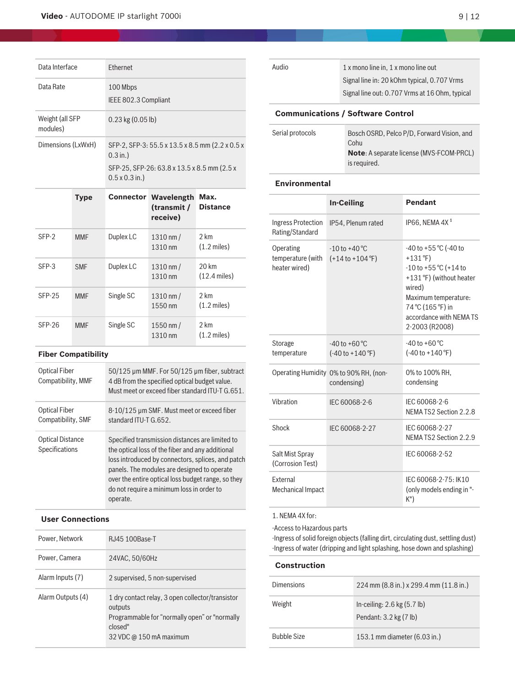|                             | <b>Type</b> |                                                                                                                                       | <b>Connector Wavelength</b><br>(transmit /<br>racaiva) | Max.<br><b>Distance</b> |
|-----------------------------|-------------|---------------------------------------------------------------------------------------------------------------------------------------|--------------------------------------------------------|-------------------------|
| Dimensions (LxWxH)          |             | SFP-2, SFP-3: 55.5 x 13.5 x 8.5 mm (2.2 x 0.5 x<br>$0.3$ in.)<br>SFP-25, SFP-26: 63.8 x 13.5 x 8.5 mm (2.5 x<br>$0.5 \times 0.3$ in.) |                                                        |                         |
| Weight (all SFP<br>modules) |             | $0.23$ kg $(0.05$ lb)                                                                                                                 |                                                        |                         |
| Data Rate                   |             | 100 Mbps<br>IEEE 802.3 Compliant                                                                                                      |                                                        |                         |
| Data Interface              |             | <b>Fthernet</b>                                                                                                                       |                                                        |                         |

|          |            |           | receive)                         |                                 |
|----------|------------|-----------|----------------------------------|---------------------------------|
| SFP-2    | <b>MMF</b> | Duplex LC | $1310 \, \text{nm}$ /<br>1310 nm | 2 km<br>$(1.2 \text{ miles})$   |
| SFP-3    | <b>SMF</b> | Duplex LC | $1310 \, \text{nm}$ /<br>1310 nm | 20 km<br>$(12.4 \text{ miles})$ |
| $SFP-25$ | <b>MMF</b> | Single SC | $1310 \, \text{nm}$ /<br>1550 nm | 2 km<br>$(1.2 \text{ miles})$   |
| $SFP-26$ | <b>MMF</b> | Single SC | 1550 nm $/$<br>1310 nm           | 2 km<br>$(1.2 \text{ miles})$   |

# **Fiber Compatibility**

| Optical Fiber<br>Compatibility, MMF       | 50/125 µm MMF. For 50/125 µm fiber, subtract<br>4 dB from the specified optical budget value.<br>Must meet or exceed fiber standard ITU-T G.651.                                                                                                                                                                       |
|-------------------------------------------|------------------------------------------------------------------------------------------------------------------------------------------------------------------------------------------------------------------------------------------------------------------------------------------------------------------------|
| Optical Fiber<br>Compatibility, SMF       | 8-10/125 µm SMF. Must meet or exceed fiber<br>standard ITU-T G.652.                                                                                                                                                                                                                                                    |
| <b>Optical Distance</b><br>Specifications | Specified transmission distances are limited to<br>the optical loss of the fiber and any additional<br>loss introduced by connectors, splices, and patch<br>panels. The modules are designed to operate<br>over the entire optical loss budget range, so they<br>do not require a minimum loss in order to<br>operate. |

#### **User Connections**

| Power, Network    | RJ45 100Base-T                                                                                                                                     |
|-------------------|----------------------------------------------------------------------------------------------------------------------------------------------------|
| Power, Camera     | 24VAC, 50/60Hz                                                                                                                                     |
| Alarm Inputs (7)  | 2 supervised, 5 non-supervised                                                                                                                     |
| Alarm Outputs (4) | 1 dry contact relay, 3 open collector/transistor<br>outputs<br>Programmable for "normally open" or "normally<br>closed"<br>32 VDC @ 150 mA maximum |

| Audio                                    | 1 x mono line in, 1 x mono line out<br>Signal line in: 20 kOhm typical, 0.707 Vrms<br>Signal line out: 0.707 Vrms at 16 Ohm, typical |  |  |  |
|------------------------------------------|--------------------------------------------------------------------------------------------------------------------------------------|--|--|--|
| <b>Communications / Software Control</b> |                                                                                                                                      |  |  |  |
| Serial protocols                         | Bosch OSRD, Pelco P/D, Forward Vision, and<br>Cohu<br><b>Note:</b> A separate license (MVS-FCOM-PRCL)                                |  |  |  |

is required.

#### **Environmental**

|                                                 | <b>In-Ceiling</b>                                                      | <b>Pendant</b>                                                                                                                                                                                        |
|-------------------------------------------------|------------------------------------------------------------------------|-------------------------------------------------------------------------------------------------------------------------------------------------------------------------------------------------------|
| Ingress Protection<br>Rating/Standard           | IP54, Plenum rated                                                     | IP66, NEMA 4X <sup>1</sup>                                                                                                                                                                            |
| Operating<br>temperature (with<br>heater wired) | $-10$ to $+40$ °C<br>$(+14 \text{ to } +104 \text{ }^{\circ}\text{F})$ | $-40$ to $+55$ °C (-40 to<br>+131 $°F$ )<br>$-10$ to $+55$ °C (+14 to<br>+131 °F) (without heater<br>wired)<br>Maximum temperature:<br>74 °C (165 °F) in<br>accordance with NEMA TS<br>2-2003 (R2008) |
| Storage<br>temperature                          | $-40$ to $+60$ °C<br>$(-40 \text{ to } +140 \text{ °F})$               | $-40$ to $+60$ °C<br>$(-40 \text{ to } +140 \text{ }^{\circ}\text{F})$                                                                                                                                |
|                                                 | Operating Humidity 0% to 90% RH, (non-<br>condensing)                  | 0% to 100% RH,<br>condensing                                                                                                                                                                          |
| Vibration                                       | IEC 60068-2-6                                                          | IEC 60068-2-6<br>NEMA TS2 Section 2.2.8                                                                                                                                                               |
| Shock                                           | IEC 60068-2-27                                                         | IEC 60068-2-27<br>NEMA TS2 Section 2.2.9                                                                                                                                                              |
| Salt Mist Spray<br>(Corrosion Test)             |                                                                        | IEC 60068-2-52                                                                                                                                                                                        |
| <b>Fxternal</b><br>Mechanical Impact            |                                                                        | IEC 60068-2-75: IK10<br>(only models ending in "-<br>$K$ ")                                                                                                                                           |

1. NEMA 4X for:

-Access to Hazardous parts

-Ingress of solid foreign objects (falling dirt, circulating dust, settling dust) -Ingress of water (dripping and light splashing, hose down and splashing)

# **Construction**

| Dimensions         | 224 mm (8.8 in.) x 299.4 mm (11.8 in.)                    |
|--------------------|-----------------------------------------------------------|
| Weight             | In-ceiling: $2.6$ kg $(5.7$ lb)<br>Pendant: 3.2 kg (7 lb) |
| <b>Bubble Size</b> | 153.1 mm diameter (6.03 in.)                              |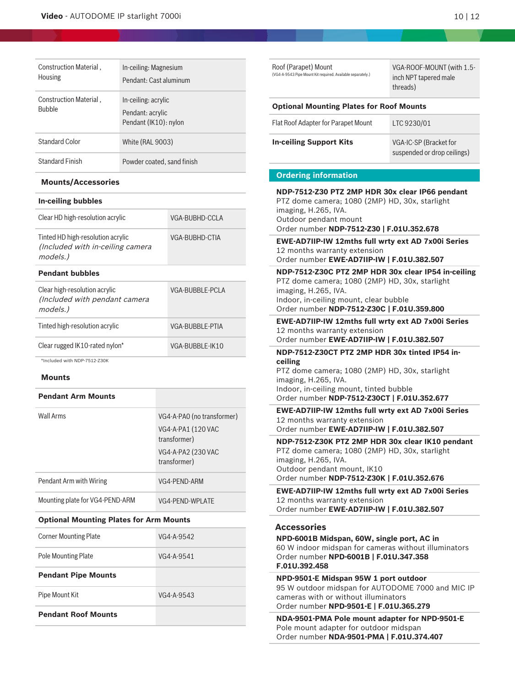| Construction Material.<br><b>Housing</b> | In-ceiling: Magnesium<br>Pendant: Cast aluminum                  |
|------------------------------------------|------------------------------------------------------------------|
| Construction Material,<br><b>Bubble</b>  | In-ceiling: acrylic<br>Pendant: acrylic<br>Pendant (IK10): nylon |
| <b>Standard Color</b>                    | <b>White (RAL 9003)</b>                                          |
| <b>Standard Finish</b>                   | Powder coated, sand finish                                       |

#### **Mounts/Accessories**

| In-ceiling bubbles                                                                |                 |  |  |
|-----------------------------------------------------------------------------------|-----------------|--|--|
| Clear HD high-resolution acrylic                                                  | VGA-BUBHD-CCLA  |  |  |
| Tinted HD high-resolution acrylic<br>(Included with in-ceiling camera<br>models.) | VGA-BUBHD-CTIA  |  |  |
| <b>Pendant bubbles</b>                                                            |                 |  |  |
| Clear high-resolution acrylic<br>(Included with pendant camera<br>models.)        | VGA-BUBBLE-PCLA |  |  |
| Tinted high-resolution acrylic                                                    | VGA-BUBBLE-PTIA |  |  |
| Clear rugged IK10-rated nylon*                                                    | VGA-BUBBLE-IK10 |  |  |

\*Included with NDP-7512-Z30K

#### **Mounts**

#### **Pendant Arm Mounts**

| Wall Arms                       | VG4-A-PAO (no transformer)<br>VG4-A-PA1 (120 VAC<br>transformer)<br>VG4-A-PA2 (230 VAC<br>transformer) |
|---------------------------------|--------------------------------------------------------------------------------------------------------|
| Pendant Arm with Wiring         | VG4-PEND-ARM                                                                                           |
| Mounting plate for VG4-PEND-ARM | VG4-PEND-WPLATE                                                                                        |

# **Optional Mounting Plates for Arm Mounts**

| <b>Corner Mounting Plate</b> | VG4-A-9542   |
|------------------------------|--------------|
| <b>Pole Mounting Plate</b>   | VG4-A-9541   |
| <b>Pendant Pipe Mounts</b>   |              |
| Pipe Mount Kit               | $VG4-A-9543$ |
| <b>Pendant Roof Mounts</b>   |              |

| Roof (Parapet) Mount<br>(VG4-A-9543 Pipe Mount Kit required. Available separately.)                                                                                                                                   | VGA-ROOF-MOUNT (with 1.5-<br>inch NPT tapered male<br>threads) |  |  |  |
|-----------------------------------------------------------------------------------------------------------------------------------------------------------------------------------------------------------------------|----------------------------------------------------------------|--|--|--|
| <b>Optional Mounting Plates for Roof Mounts</b>                                                                                                                                                                       |                                                                |  |  |  |
| Flat Roof Adapter for Parapet Mount                                                                                                                                                                                   | LTC 9230/01                                                    |  |  |  |
| <b>In-ceiling Support Kits</b>                                                                                                                                                                                        | VGA-IC-SP (Bracket for<br>suspended or drop ceilings)          |  |  |  |
| <b>Ordering information</b>                                                                                                                                                                                           |                                                                |  |  |  |
| NDP-7512-Z30 PTZ 2MP HDR 30x clear IP66 pendant<br>PTZ dome camera; 1080 (2MP) HD, 30x, starlight<br>imaging, H.265, IVA.<br>Outdoor pendant mount<br>Order number NDP-7512-Z30   F.01U.352.678                       |                                                                |  |  |  |
| EWE-AD7IIP-IW 12mths full wrty ext AD 7x00i Series<br>12 months warranty extension<br>Order number EWE-AD7IIP-IW   F.01U.382.507                                                                                      |                                                                |  |  |  |
| NDP-7512-Z30C PTZ 2MP HDR 30x clear IP54 in-ceiling<br>PTZ dome camera; 1080 (2MP) HD, 30x, starlight<br>imaging, H.265, IVA.<br>Indoor, in-ceiling mount, clear bubble<br>Order number NDP-7512-Z30C   F.01U.359.800 |                                                                |  |  |  |
| EWE-AD7IIP-IW 12mths full wrty ext AD 7x00i Series<br>12 months warranty extension<br>Order number EWE-AD7IIP-IW   F.01U.382.507                                                                                      |                                                                |  |  |  |
| NDP-7512-Z30CT PTZ 2MP HDR 30x tinted IP54 in-                                                                                                                                                                        |                                                                |  |  |  |
| ceiling<br>PTZ dome camera; 1080 (2MP) HD, 30x, starlight<br>imaging, H.265, IVA.<br>Indoor, in-ceiling mount, tinted bubble<br>Order number NDP-7512-Z30CT   F.01U.352.677                                           |                                                                |  |  |  |
| EWE-AD7IIP-IW 12mths full wrty ext AD 7x00i Series<br>12 months warranty extension<br>Order number EWE-AD7IIP-IW   F.01U.382.507                                                                                      |                                                                |  |  |  |
| NDP-7512-Z30K PTZ 2MP HDR 30x clear IK10 pendant<br>PTZ dome camera; 1080 (2MP) HD, 30x, starlight<br>imaging, H.265, IVA.<br>Outdoor pendant mount, IK10<br>Order number NDP-7512-Z30K   F.01U.352.676               |                                                                |  |  |  |
| EWE-AD7IIP-IW 12mths full wrty ext AD 7x00i Series<br>12 months warranty extension<br>Order number EWE-AD7IIP-IW   F.01U.382.507                                                                                      |                                                                |  |  |  |
| <b>Accessories</b>                                                                                                                                                                                                    |                                                                |  |  |  |
| NPD-6001B Midspan, 60W, single port, AC in<br>60 W indoor midspan for cameras without illuminators<br>Order number NPD-6001B   F.01U.347.358<br>F.01U.392.458                                                         |                                                                |  |  |  |

**NPD-9501-E Midspan 95W 1 port outdoor** 95 W outdoor midspan for AUTODOME 7000 and MIC IP cameras with or without illuminators Order number **NPD-9501-E | F.01U.365.279**

**NDA-9501-PMA Pole mount adapter for NPD-9501-E** Pole mount adapter for outdoor midspan Order number **NDA-9501-PMA | F.01U.374.407**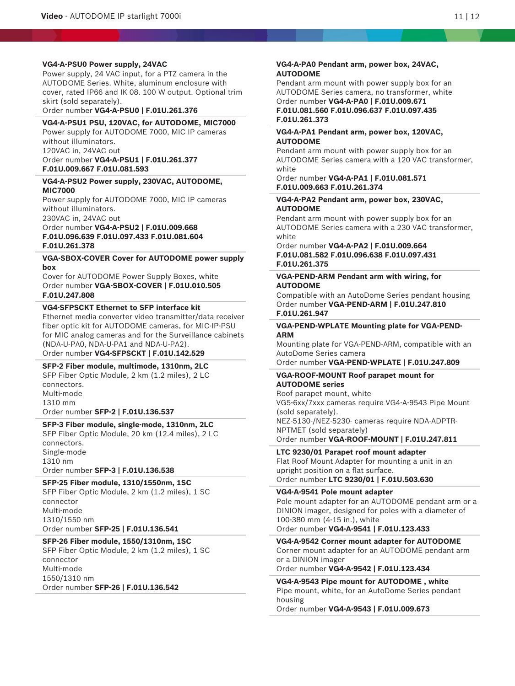#### **VG4-A-PSU0 Power supply, 24VAC**

Power supply, 24 VAC input, for a PTZ camera in the AUTODOME Series. White, aluminum enclosure with cover, rated IP66 and IK 08. 100 W output. Optional trim skirt (sold separately).

Order number **VG4-A-PSU0 | F.01U.261.376**

#### **VG4-A-PSU1 PSU, 120VAC, for AUTODOME, MIC7000**

Power supply for AUTODOME 7000, MIC IP cameras without illuminators. 120VAC in, 24VAC out

Order number **VG4-A-PSU1 | F.01U.261.377 F.01U.009.667 F.01U.081.593**

#### **VG4-A-PSU2 Power supply, 230VAC, AUTODOME, MIC7000**

Power supply for AUTODOME 7000, MIC IP cameras without illuminators. 230VAC in, 24VAC out

Order number **VG4-A-PSU2 | F.01U.009.668 F.01U.096.639 F.01U.097.433 F.01U.081.604 F.01U.261.378**

#### **VGA-SBOX-COVER Cover for AUTODOME power supply box**

Cover for AUTODOME Power Supply Boxes, white Order number **VGA-SBOX-COVER | F.01U.010.505 F.01U.247.808**

### **VG4-SFPSCKT Ethernet to SFP interface kit**

Ethernet media converter video transmitter/data receiver fiber optic kit for AUTODOME cameras, for MIC-IP-PSU for MIC analog cameras and for the Surveillance cabinets (NDA-U-PA0, NDA-U-PA1 and NDA-U-PA2). Order number **VG4-SFPSCKT | F.01U.142.529**

**SFP-2 Fiber module, multimode, 1310nm, 2LC** SFP Fiber Optic Module, 2 km (1.2 miles), 2 LC connectors. Multi-mode 1310 mm Order number **SFP-2 | F.01U.136.537**

**SFP-3 Fiber module, single-mode, 1310nm, 2LC** SFP Fiber Optic Module, 20 km (12.4 miles), 2 LC connectors. Single-mode 1310 nm Order number **SFP-3 | F.01U.136.538**

#### **SFP-25 Fiber module, 1310/1550nm, 1SC**

SFP Fiber Optic Module, 2 km (1.2 miles), 1 SC connector Multi-mode 1310/1550 nm Order number **SFP-25 | F.01U.136.541**

#### **SFP-26 Fiber module, 1550/1310nm, 1SC**

SFP Fiber Optic Module, 2 km (1.2 miles), 1 SC connector Multi-mode 1550/1310 nm Order number **SFP-26 | F.01U.136.542**

#### **VG4-A-PA0 Pendant arm, power box, 24VAC, AUTODOME**

Pendant arm mount with power supply box for an AUTODOME Series camera, no transformer, white Order number **VG4-A-PA0 | F.01U.009.671 F.01U.081.560 F.01U.096.637 F.01U.097.435**

#### **F.01U.261.373**

#### **VG4-A-PA1 Pendant arm, power box, 120VAC, AUTODOME**

Pendant arm mount with power supply box for an AUTODOME Series camera with a 120 VAC transformer, white

#### Order number **VG4-A-PA1 | F.01U.081.571 F.01U.009.663 F.01U.261.374**

#### **VG4-A-PA2 Pendant arm, power box, 230VAC, AUTODOME**

Pendant arm mount with power supply box for an AUTODOME Series camera with a 230 VAC transformer, white

Order number **VG4-A-PA2 | F.01U.009.664 F.01U.081.582 F.01U.096.638 F.01U.097.431 F.01U.261.375**

#### **VGA-PEND-ARM Pendant arm with wiring, for AUTODOME**

Compatible with an AutoDome Series pendant housing Order number **VGA-PEND-ARM | F.01U.247.810 F.01U.261.947**

#### **VGA-PEND-WPLATE Mounting plate for VGA-PEND-ARM**

Mounting plate for VGA-PEND-ARM, compatible with an AutoDome Series camera

Order number **VGA-PEND-WPLATE | F.01U.247.809**

#### **VGA-ROOF-MOUNT Roof parapet mount for AUTODOME series**

Roof parapet mount, white VG5-6xx/7xxx cameras require VG4-A-9543 Pipe Mount (sold separately). NEZ-5130-/NEZ-5230- cameras require NDA-ADPTR-NPTMET (sold separately) Order number **VGA-ROOF-MOUNT | F.01U.247.811**

**LTC 9230/01 Parapet roof mount adapter**

Flat Roof Mount Adapter for mounting a unit in an upright position on a flat surface.

Order number **LTC 9230/01 | F.01U.503.630**

**VG4-A-9541 Pole mount adapter**

Pole mount adapter for an AUTODOME pendant arm or a DINION imager, designed for poles with a diameter of 100‑380 mm (4‑15 in.), white

Order number **VG4-A-9541 | F.01U.123.433**

**VG4-A-9542 Corner mount adapter for AUTODOME** Corner mount adapter for an AUTODOME pendant arm or a DINION imager

# Order number **VG4-A-9542 | F.01U.123.434**

**VG4-A-9543 Pipe mount for AUTODOME , white** Pipe mount, white, for an AutoDome Series pendant housing

Order number **VG4-A-9543 | F.01U.009.673**